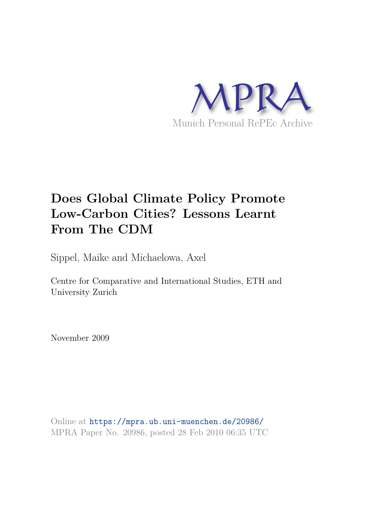

# **Does Global Climate Policy Promote Low-Carbon Cities? Lessons Learnt From The CDM**

Sippel, Maike and Michaelowa, Axel

Centre for Comparative and International Studies, ETH and University Zurich

November 2009

Online at https://mpra.ub.uni-muenchen.de/20986/ MPRA Paper No. 20986, posted 28 Feb 2010 06:35 UTC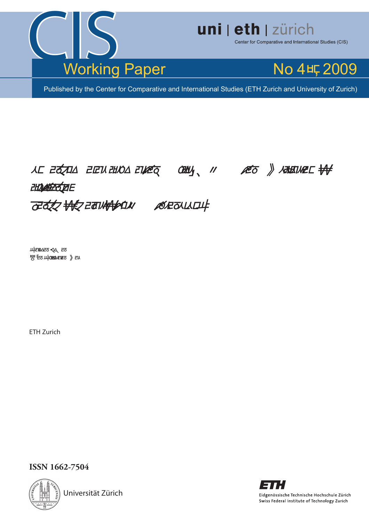

# uni | eth | zürich

Center for Comparative and International Studies (CIS)



Published by the Center for Comparative and International Studies (ETH Zurich and University of Zurich)

# NE EQUE ELE ANO ENEQUES ANY 11 ALO & ALEMEE **ZHOASERSERIE FITTY HAS EAT MANALLY MORE OUTLING**

**ЩЕТОДЕТ ОД ЕТЬ 병턴 노예 보여있으**라 》 라시

ETH Zurich

**ISSN 1662-7504** 



Universität Zürich

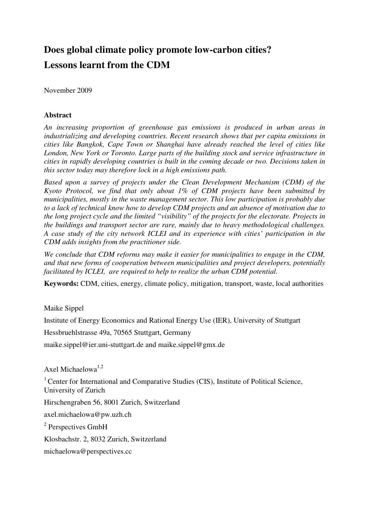## **Does global climate policy promote low-carbon cities? Lessons learnt from the CDM**

November 2009

#### **Abstract**

*An increasing proportion of greenhouse gas emissions is produced in urban areas in industrializing and developing countries. Recent research shows that per capita emissions in cities like Bangkok, Cape Town or Shanghai have already reached the level of cities like London, New York or Toronto. Large parts of the building stock and service infrastructure in cities in rapidly developing countries is built in the coming decade or two. Decisions taken in this sector today may therefore lock in a high emissions path.* 

*Based upon a survey of projects under the Clean Development Mechanism (CDM) of the Kyoto Protocol, we find that only about 1% of CDM projects have been submitted by municipalities, mostly in the waste management sector. This low participation is probably due to a lack of technical know how to develop CDM projects and an absence of motivation due to the long project cycle and the limited "visibility" of the projects for the electorate. Projects in the buildings and transport sector are rare, mainly due to heavy methodological challenges. A case study of the city network ICLEI and its experience with cities' participation in the CDM adds insights from the practitioner side.* 

*We conclude that CDM reforms may make it easier for municipalities to engage in the CDM, and that new forms of cooperation between municipalities and project developers, potentially facilitated by ICLEI, are required to help to realize the urban CDM potential.* 

**Keywords:** CDM, cities, energy, climate policy, mitigation, transport, waste, local authorities

#### Maike Sippel

Institute of Energy Economics and Rational Energy Use (IER), University of Stuttgart

Hessbruehlstrasse 49a, 70565 Stuttgart, Germany

maike.sippel@ier.uni-stuttgart.de and maike.sippel@gmx.de

Axel Michaelowa<sup>1,2</sup>

 $1$  Center for International and Comparative Studies (CIS), Institute of Political Science, University of Zurich

Hirschengraben 56, 8001 Zurich, Switzerland

axel.michaelowa@pw.uzh.ch

<sup>2</sup> Perspectives GmbH

Klosbachstr. 2, 8032 Zurich, Switzerland

michaelowa@perspectives.cc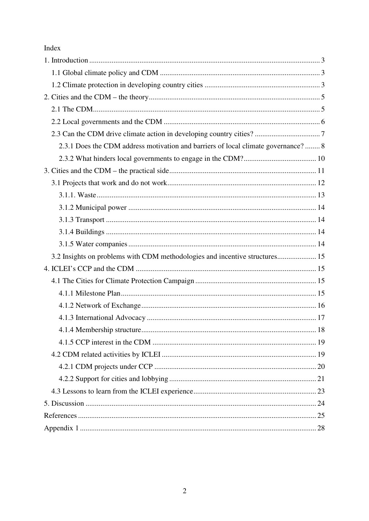#### Index

| 2.3.1 Does the CDM address motivation and barriers of local climate governance? 8 |
|-----------------------------------------------------------------------------------|
|                                                                                   |
|                                                                                   |
|                                                                                   |
|                                                                                   |
|                                                                                   |
|                                                                                   |
|                                                                                   |
|                                                                                   |
| 3.2 Insights on problems with CDM methodologies and incentive structures 15       |
|                                                                                   |
|                                                                                   |
|                                                                                   |
|                                                                                   |
|                                                                                   |
|                                                                                   |
|                                                                                   |
|                                                                                   |
|                                                                                   |
|                                                                                   |
|                                                                                   |
|                                                                                   |
|                                                                                   |
|                                                                                   |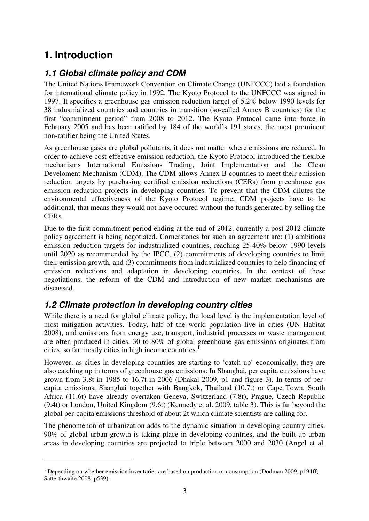## **1. Introduction**

 $\overline{a}$ 

## **1.1 Global climate policy and CDM**

The United Nations Framework Convention on Climate Change (UNFCCC) laid a foundation for international climate policy in 1992. The Kyoto Protocol to the UNFCCC was signed in 1997. It specifies a greenhouse gas emission reduction target of 5.2% below 1990 levels for 38 industrialized countries and countries in transition (so-called Annex B countries) for the first "commitment period" from 2008 to 2012. The Kyoto Protocol came into force in February 2005 and has been ratified by 184 of the world's 191 states, the most prominent non-ratifier being the United States.

As greenhouse gases are global pollutants, it does not matter where emissions are reduced. In order to achieve cost-effective emission reduction, the Kyoto Protocol introduced the flexible mechanisms International Emissions Trading, Joint Implementation and the Clean Develoment Mechanism (CDM). The CDM allows Annex B countries to meet their emission reduction targets by purchasing certified emission reductions (CERs) from greenhouse gas emission reduction projects in developing countries. To prevent that the CDM dilutes the environmental effectiveness of the Kyoto Protocol regime, CDM projects have to be additional, that means they would not have occured without the funds generated by selling the CERs.

Due to the first commitment period ending at the end of 2012, currently a post-2012 climate policy agreement is being negotiated. Cornerstones for such an agreement are: (1) ambitious emission reduction targets for industrialized countries, reaching 25-40% below 1990 levels until 2020 as recommended by the IPCC, (2) commitments of developing countries to limit their emission growth, and (3) commitments from industrialized countries to help financing of emission reductions and adaptation in developing countries. In the context of these negotiations, the reform of the CDM and introduction of new market mechanisms are discussed.

## **1.2 Climate protection in developing country cities**

While there is a need for global climate policy, the local level is the implementation level of most mitigation activities. Today, half of the world population live in cities (UN Habitat 2008), and emissions from energy use, transport, industrial processes or waste management are often produced in cities. 30 to 80% of global greenhouse gas emissions originates from cities, so far mostly cities in high income countries. 1

However, as cities in developing countries are starting to 'catch up' economically, they are also catching up in terms of greenhouse gas emissions: In Shanghai, per capita emissions have grown from 3.8t in 1985 to 16.7t in 2006 (Dhakal 2009, p1 and figure 3). In terms of percapita emissions, Shanghai together with Bangkok, Thailand (10.7t) or Cape Town, South Africa (11.6t) have already overtaken Geneva, Switzerland (7.8t), Prague, Czech Republic (9.4t) or London, United Kingdom (9.6t) (Kennedy et al. 2009, table 3). This is far beyond the global per-capita emissions threshold of about 2t which climate scientists are calling for.

The phenomenon of urbanization adds to the dynamic situation in developing country cities. 90% of global urban growth is taking place in developing countries, and the built-up urban areas in developing countries are projected to triple between 2000 and 2030 (Angel et al.

<sup>&</sup>lt;sup>1</sup> Depending on whether emission inventories are based on production or consumption (Dodman 2009, p194ff; Satterthwaite 2008, p539).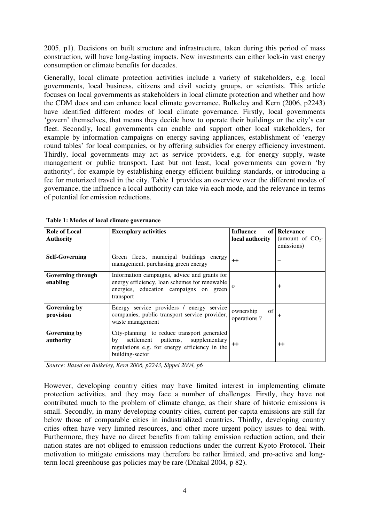2005, p1). Decisions on built structure and infrastructure, taken during this period of mass construction, will have long-lasting impacts. New investments can either lock-in vast energy consumption or climate benefits for decades.

Generally, local climate protection activities include a variety of stakeholders, e.g. local governments, local business, citizens and civil society groups, or scientists. This article focuses on local governments as stakeholders in local climate protection and whether and how the CDM does and can enhance local climate governance. Bulkeley and Kern (2006, p2243) have identified different modes of local climate governance. Firstly, local governments 'govern' themselves, that means they decide how to operate their buildings or the city's car fleet. Secondly, local governments can enable and support other local stakeholders, for example by information campaigns on energy saving appliances, establishment of 'energy round tables' for local companies, or by offering subsidies for energy efficiency investment. Thirdly, local governments may act as service providers, e.g. for energy supply, waste management or public transport. Last but not least, local governments can govern 'by authority', for example by establishing energy efficient building standards, or introducing a fee for motorized travel in the city. Table 1 provides an overview over the different modes of governance, the influence a local authority can take via each mode, and the relevance in terms of potential for emission reductions.

| <b>Role of Local</b><br><b>Authority</b> | <b>Exemplary activities</b>                                                                                                                                 | Influence<br>of<br>local authority | <b>Relevance</b><br>(amount of $CO2$ -<br>emissions) |
|------------------------------------------|-------------------------------------------------------------------------------------------------------------------------------------------------------------|------------------------------------|------------------------------------------------------|
| <b>Self-Governing</b>                    | Green fleets, municipal buildings energy<br>management, purchasing green energy                                                                             | $++$                               |                                                      |
| <b>Governing through</b><br>enabling     | Information campaigns, advice and grants for<br>energy efficiency, loan schemes for renewable<br>energies, education campaigns on green<br>transport        | $\Omega$                           | +                                                    |
| Governing by<br>provision                | Energy service providers / energy service<br>companies, public transport service provider,<br>waste management                                              | of<br>ownership<br>operations?     | +                                                    |
| Governing by<br>authority                | City-planning to reduce transport generated<br>settlement patterns, supplementary<br>by<br>regulations e.g. for energy efficiency in the<br>building-sector | $^{\mathrm{+}}$                    | $^{\mathrm{+}}$                                      |

|  |  |  |  |  |  | Table 1: Modes of local climate governance |
|--|--|--|--|--|--|--------------------------------------------|
|--|--|--|--|--|--|--------------------------------------------|

*Source: Based on Bulkeley, Kern 2006, p2243, Sippel 2004, p6* 

However, developing country cities may have limited interest in implementing climate protection activities, and they may face a number of challenges. Firstly, they have not contributed much to the problem of climate change, as their share of historic emissions is small. Secondly, in many developing country cities, current per-capita emissions are still far below those of comparable cities in industrialized countries. Thirdly, developing country cities often have very limited resources, and other more urgent policy issues to deal with. Furthermore, they have no direct benefits from taking emission reduction action, and their nation states are not obliged to emission reductions under the current Kyoto Protocol. Their motivation to mitigate emissions may therefore be rather limited, and pro-active and longterm local greenhouse gas policies may be rare (Dhakal 2004, p 82).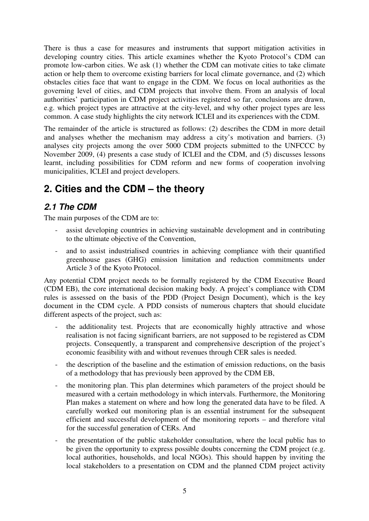There is thus a case for measures and instruments that support mitigation activities in developing country cities. This article examines whether the Kyoto Protocol's CDM can promote low-carbon cities. We ask (1) whether the CDM can motivate cities to take climate action or help them to overcome existing barriers for local climate governance, and (2) which obstacles cities face that want to engage in the CDM. We focus on local authorities as the governing level of cities, and CDM projects that involve them. From an analysis of local authorities' participation in CDM project activities registered so far, conclusions are drawn, e.g. which project types are attractive at the city-level, and why other project types are less common. A case study highlights the city network ICLEI and its experiences with the CDM.

The remainder of the article is structured as follows: (2) describes the CDM in more detail and analyses whether the mechanism may address a city's motivation and barriers. (3) analyses city projects among the over 5000 CDM projects submitted to the UNFCCC by November 2009, (4) presents a case study of ICLEI and the CDM, and (5) discusses lessons learnt, including possibilities for CDM reform and new forms of cooperation involving municipalities, ICLEI and project developers.

## **2. Cities and the CDM – the theory**

## **2.1 The CDM**

The main purposes of the CDM are to:

- assist developing countries in achieving sustainable development and in contributing to the ultimate objective of the Convention,
- and to assist industrialised countries in achieving compliance with their quantified greenhouse gases (GHG) emission limitation and reduction commitments under Article 3 of the Kyoto Protocol.

Any potential CDM project needs to be formally registered by the CDM Executive Board (CDM EB), the core international decision making body. A project's compliance with CDM rules is assessed on the basis of the PDD (Project Design Document), which is the key document in the CDM cycle. A PDD consists of numerous chapters that should elucidate different aspects of the project, such as:

- the additionality test. Projects that are economically highly attractive and whose realisation is not facing significant barriers, are not supposed to be registered as CDM projects. Consequently, a transparent and comprehensive description of the project's economic feasibility with and without revenues through CER sales is needed.
- the description of the baseline and the estimation of emission reductions, on the basis of a methodology that has previously been approved by the CDM EB,
- the monitoring plan. This plan determines which parameters of the project should be measured with a certain methodology in which intervals. Furthermore, the Monitoring Plan makes a statement on where and how long the generated data have to be filed. A carefully worked out monitoring plan is an essential instrument for the subsequent efficient and successful development of the monitoring reports – and therefore vital for the successful generation of CERs. And
- the presentation of the public stakeholder consultation, where the local public has to be given the opportunity to express possible doubts concerning the CDM project (e.g. local authorities, households, and local NGOs). This should happen by inviting the local stakeholders to a presentation on CDM and the planned CDM project activity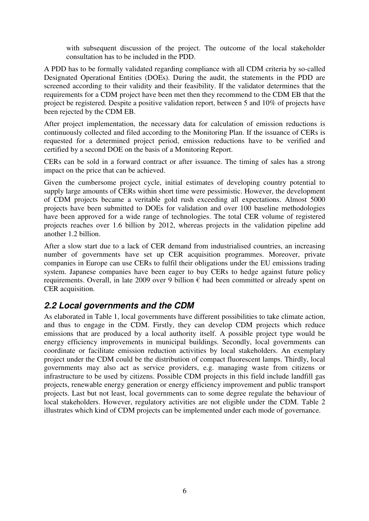with subsequent discussion of the project. The outcome of the local stakeholder consultation has to be included in the PDD.

A PDD has to be formally validated regarding compliance with all CDM criteria by so-called Designated Operational Entities (DOEs). During the audit, the statements in the PDD are screened according to their validity and their feasibility. If the validator determines that the requirements for a CDM project have been met then they recommend to the CDM EB that the project be registered. Despite a positive validation report, between 5 and 10% of projects have been rejected by the CDM EB.

After project implementation, the necessary data for calculation of emission reductions is continuously collected and filed according to the Monitoring Plan. If the issuance of CERs is requested for a determined project period, emission reductions have to be verified and certified by a second DOE on the basis of a Monitoring Report.

CERs can be sold in a forward contract or after issuance. The timing of sales has a strong impact on the price that can be achieved.

Given the cumbersome project cycle, initial estimates of developing country potential to supply large amounts of CERs within short time were pessimistic. However, the development of CDM projects became a veritable gold rush exceeding all expectations. Almost 5000 projects have been submitted to DOEs for validation and over 100 baseline methodologies have been approved for a wide range of technologies. The total CER volume of registered projects reaches over 1.6 billion by 2012, whereas projects in the validation pipeline add another 1.2 billion.

After a slow start due to a lack of CER demand from industrialised countries, an increasing number of governments have set up CER acquisition programmes. Moreover, private companies in Europe can use CERs to fulfil their obligations under the EU emissions trading system. Japanese companies have been eager to buy CERs to hedge against future policy requirements. Overall, in late 2009 over 9 billion  $\epsilon$  had been committed or already spent on CER acquisition.

## **2.2 Local governments and the CDM**

As elaborated in Table 1, local governments have different possibilities to take climate action, and thus to engage in the CDM. Firstly, they can develop CDM projects which reduce emissions that are produced by a local authority itself. A possible project type would be energy efficiency improvements in municipal buildings. Secondly, local governments can coordinate or facilitate emission reduction activities by local stakeholders. An exemplary project under the CDM could be the distribution of compact fluorescent lamps. Thirdly, local governments may also act as service providers, e.g. managing waste from citizens or infrastructure to be used by citizens. Possible CDM projects in this field include landfill gas projects, renewable energy generation or energy efficiency improvement and public transport projects. Last but not least, local governments can to some degree regulate the behaviour of local stakeholders. However, regulatory activities are not eligible under the CDM. Table 2 illustrates which kind of CDM projects can be implemented under each mode of governance.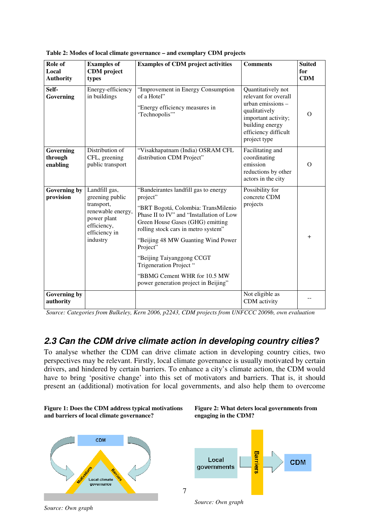| Role of<br>Local<br><b>Authority</b> | <b>Examples of</b><br><b>CDM</b> project<br>types                                                                              | <b>Examples of CDM project activities</b>                                                                                                                                                                                                                                                                                                                                                         | <b>Comments</b>                                                                                                                                                      | <b>Suited</b><br>for<br><b>CDM</b> |
|--------------------------------------|--------------------------------------------------------------------------------------------------------------------------------|---------------------------------------------------------------------------------------------------------------------------------------------------------------------------------------------------------------------------------------------------------------------------------------------------------------------------------------------------------------------------------------------------|----------------------------------------------------------------------------------------------------------------------------------------------------------------------|------------------------------------|
| Self-<br>Governing                   | Energy-efficiency<br>in buildings                                                                                              | "Improvement in Energy Consumption<br>of a Hotel"<br>"Energy efficiency measures in<br>'Technopolis'"                                                                                                                                                                                                                                                                                             | Quantitatively not<br>relevant for overall<br>urban emissions $-$<br>qualitatively<br>important activity;<br>building energy<br>efficiency difficult<br>project type | $\Omega$                           |
| Governing<br>through<br>enabling     | Distribution of<br>CFL, greening<br>public transport                                                                           | "Visakhapatnam (India) OSRAM CFL<br>distribution CDM Project"                                                                                                                                                                                                                                                                                                                                     | Facilitating and<br>coordinating<br>emission<br>reductions by other<br>actors in the city                                                                            | $\Omega$                           |
| Governing by<br>provision            | Landfill gas,<br>greening public<br>transport,<br>renewable energy,<br>power plant<br>efficiency,<br>efficiency in<br>industry | "Bandeirantes landfill gas to energy<br>project"<br>"BRT Bogotá, Colombia: TransMilenio<br>Phase II to IV" and "Installation of Low<br>Green House Gases (GHG) emitting<br>rolling stock cars in metro system"<br>"Beijing 48 MW Guanting Wind Power"<br>Project"<br>"Beijing Taiyanggong CCGT<br>Trigeneration Project "<br>"BBMG Cement WHR for 10.5 MW<br>power generation project in Beijing" | Possibility for<br>concrete CDM<br>projects                                                                                                                          | $^{+}$                             |
| <b>Governing by</b><br>authority     |                                                                                                                                |                                                                                                                                                                                                                                                                                                                                                                                                   | Not eligible as<br>CDM activity                                                                                                                                      |                                    |

**Table 2: Modes of local climate governance – and exemplary CDM projects** 

*Source: Categories from Bulkeley, Kern 2006, p2243, CDM projects from UNFCCC 2009b, own evaluation* 

#### **2.3 Can the CDM drive climate action in developing country cities?**

To analyse whether the CDM can drive climate action in developing country cities, two perspectives may be relevant. Firstly, local climate governance is usually motivated by certain drivers, and hindered by certain barriers. To enhance a city's climate action, the CDM would have to bring 'positive change' into this set of motivators and barriers. That is, it should present an (additional) motivation for local governments, and also help them to overcome









*Source: Own graph*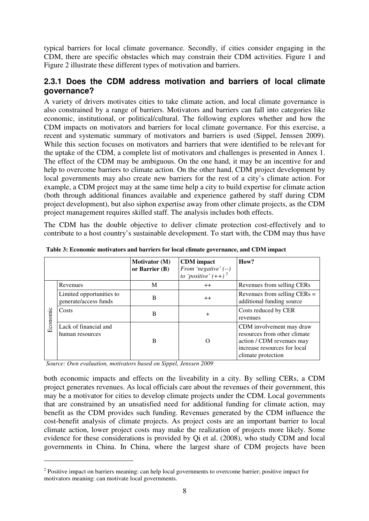typical barriers for local climate governance. Secondly, if cities consider engaging in the CDM, there are specific obstacles which may constrain their CDM activities. Figure 1 and Figure 2 illustrate these different types of motivation and barriers.

#### **2.3.1 Does the CDM address motivation and barriers of local climate governance?**

A variety of drivers motivates cities to take climate action, and local climate governance is also constrained by a range of barriers. Motivators and barriers can fall into categories like economic, institutional, or political/cultural. The following explores whether and how the CDM impacts on motivators and barriers for local climate governance. For this exercise, a recent and systematic summary of motivators and barriers is used (Sippel, Jenssen 2009). While this section focuses on motivators and barriers that were identified to be relevant for the uptake of the CDM, a complete list of motivators and challenges is presented in Annex 1. The effect of the CDM may be ambiguous. On the one hand, it may be an incentive for and help to overcome barriers to climate action. On the other hand, CDM project development by local governments may also create new barriers for the rest of a city's climate action. For example, a CDM project may at the same time help a city to build expertise for climate action (both through additional finances available and experience gathered by staff during CDM project development), but also siphon expertise away from other climate projects, as the CDM project management requires skilled staff. The analysis includes both effects.

The CDM has the double objective to deliver climate protection cost-effectively and to contribute to a host country's sustainable development. To start with, the CDM may thus have

|          |                                                   | <b>Motivator</b> (M)<br>or Barrier $(B)$ | <b>CDM</b> impact<br>From 'negative' (--)<br>to 'positive' $(++)$ <sup>2</sup> | How?                                                                                                                                        |
|----------|---------------------------------------------------|------------------------------------------|--------------------------------------------------------------------------------|---------------------------------------------------------------------------------------------------------------------------------------------|
|          | Revenues                                          | M                                        | $^{++}$                                                                        | Revenues from selling CERs                                                                                                                  |
|          | Limited opportunities to<br>generate/access funds | B                                        | $^{++}$                                                                        | Revenues from selling $CERs =$<br>additional funding source                                                                                 |
| Economic | Costs                                             | B                                        | $\pm$                                                                          | Costs reduced by CER<br>revenues                                                                                                            |
|          | Lack of financial and<br>human resources          | B                                        | $\mathbf{\Omega}$                                                              | CDM involvement may draw<br>resources from other climate<br>action / CDM revenues may<br>increase resources for local<br>climate protection |

**Table 3: Economic motivators and barriers for local climate governance, and CDM impact** 

*Source: Own evaluation, motivators based on Sippel, Jenssen 2009* 

 $\overline{a}$ 

both economic impacts and effects on the liveability in a city. By selling CERs, a CDM project generates revenues. As local officials care about the revenues of their government, this may be a motivator for cities to develop climate projects under the CDM. Local governments that are constrained by an unsatisfied need for additional funding for climate action, may benefit as the CDM provides such funding. Revenues generated by the CDM influence the cost-benefit analysis of climate projects. As project costs are an important barrier to local climate action, lower project costs may make the realization of projects more likely. Some evidence for these considerations is provided by Qi et al. (2008), who study CDM and local governments in China. In China, where the largest share of CDM projects have been

<sup>&</sup>lt;sup>2</sup> Positive impact on barriers meaning: can help local governments to overcome barrier; positive impact for motivators meaning: can motivate local governments.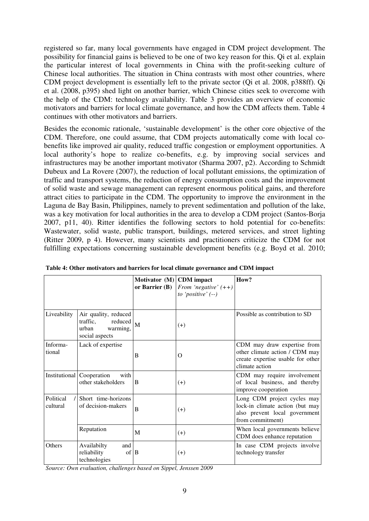registered so far, many local governments have engaged in CDM project development. The possibility for financial gains is believed to be one of two key reason for this. Qi et al. explain the particular interest of local governments in China with the profit-seeking culture of Chinese local authorities. The situation in China contrasts with most other countries, where CDM project development is essentially left to the private sector (Qi et al. 2008, p388ff). Qi et al. (2008, p395) shed light on another barrier, which Chinese cities seek to overcome with the help of the CDM: technology availability. Table 3 provides an overview of economic motivators and barriers for local climate governance, and how the CDM affects them. Table 4 continues with other motivators and barriers.

Besides the economic rationale, 'sustainable development' is the other core objective of the CDM. Therefore, one could assume, that CDM projects automatically come with local cobenefits like improved air quality, reduced traffic congestion or employment opportunities. A local authority's hope to realize co-benefits, e.g. by improving social services and infrastructures may be another important motivator (Sharma 2007, p2). According to Schmidt Dubeux and La Rovere (2007), the reduction of local pollutant emissions, the optimization of traffic and transport systems, the reduction of energy consumption costs and the improvement of solid waste and sewage management can represent enormous political gains, and therefore attract cities to participate in the CDM. The opportunity to improve the environment in the Laguna de Bay Basin, Philippines, namely to prevent sedimentation and pollution of the lake, was a key motivation for local authorities in the area to develop a CDM project (Santos-Borja 2007, p11, 40). Ritter identifies the following sectors to hold potential for co-benefits: Wastewater, solid waste, public transport, buildings, metered services, and street lighting (Ritter 2009, p 4). However, many scientists and practitioners criticize the CDM for not fulfilling expectations concerning sustainable development benefits (e.g. Boyd et al. 2010;

|                       |                                                                                    | Motivator $(M)$ CDM impact<br>or Barrier $(B)$ | From 'negative' $(++)$<br>to 'positive' $(-)$ | How?                                                                                                                 |
|-----------------------|------------------------------------------------------------------------------------|------------------------------------------------|-----------------------------------------------|----------------------------------------------------------------------------------------------------------------------|
| Liveability           | Air quality, reduced<br>traffic,<br>reduced<br>urban<br>warming,<br>social aspects | $\overline{M}$                                 | $(+)$                                         | Possible as contribution to SD                                                                                       |
| Informa-<br>tional    | Lack of expertise                                                                  | В                                              | О                                             | CDM may draw expertise from<br>other climate action / CDM may<br>create expertise usable for other<br>climate action |
| Institutional         | Cooperation<br>with<br>other stakeholders                                          | B                                              | $(+)$                                         | CDM may require involvement<br>of local business, and thereby<br>improve cooperation                                 |
| Political<br>cultural | Short time-horizons<br>of decision-makers                                          | B                                              | $^{(+)}$                                      | Long CDM project cycles may<br>lock-in climate action (but may<br>also prevent local government<br>from commitment)  |
|                       | Reputation                                                                         | M                                              | $(+)$                                         | When local governments believe<br>CDM does enhance reputation                                                        |
| Others                | Availabilty<br>and<br>reliability<br>$of$ B<br>technologies                        |                                                | $(+)$                                         | In case CDM projects involve<br>technology transfer                                                                  |

**Table 4: Other motivators and barriers for local climate governance and CDM impact** 

*Source: Own evaluation, challenges based on Sippel, Jenssen 2009*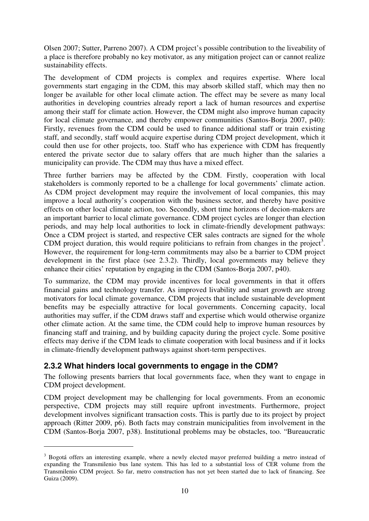Olsen 2007; Sutter, Parreno 2007). A CDM project's possible contribution to the liveability of a place is therefore probably no key motivator, as any mitigation project can or cannot realize sustainability effects.

The development of CDM projects is complex and requires expertise. Where local governments start engaging in the CDM, this may absorb skilled staff, which may then no longer be available for other local climate action. The effect may be severe as many local authorities in developing countries already report a lack of human resources and expertise among their staff for climate action. However, the CDM might also improve human capacity for local climate governance, and thereby empower communities (Santos-Borja 2007, p40): Firstly, revenues from the CDM could be used to finance additional staff or train existing staff, and secondly, staff would acquire expertise during CDM project development, which it could then use for other projects, too. Staff who has experience with CDM has frequently entered the private sector due to salary offers that are much higher than the salaries a municipality can provide. The CDM may thus have a mixed effect.

Three further barriers may be affected by the CDM. Firstly, cooperation with local stakeholders is commonly reported to be a challenge for local governments' climate action. As CDM project development may require the involvement of local companies, this may improve a local authority's cooperation with the business sector, and thereby have positive effects on other local climate action, too. Secondly, short time horizons of decion-makers are an important barrier to local climate governance. CDM project cycles are longer than election periods, and may help local authorities to lock in climate-friendly development pathways: Once a CDM project is started, and respective CER sales contracts are signed for the whole CDM project duration, this would require politicians to refrain from changes in the project<sup>3</sup>. However, the requirement for long-term commitments may also be a barrier to CDM project development in the first place (see 2.3.2). Thirdly, local governments may believe they enhance their cities' reputation by engaging in the CDM (Santos-Borja 2007, p40).

To summarize, the CDM may provide incentives for local governments in that it offers financial gains and technology transfer. As improved livability and smart growth are strong motivators for local climate governance, CDM projects that include sustainable development benefits may be especially attractive for local governments. Concerning capacity, local authorities may suffer, if the CDM draws staff and expertise which would otherwise organize other climate action. At the same time, the CDM could help to improve human resources by financing staff and training, and by building capacity during the project cycle. Some positive effects may derive if the CDM leads to climate cooperation with local business and if it locks in climate-friendly development pathways against short-term perspectives.

#### **2.3.2 What hinders local governments to engage in the CDM?**

 $\overline{a}$ 

The following presents barriers that local governments face, when they want to engage in CDM project development.

CDM project development may be challenging for local governments. From an economic perspective, CDM projects may still require upfront investments. Furthermore, project development involves significant transaction costs. This is partly due to its project by project approach (Ritter 2009, p6). Both facts may constrain municipalities from involvement in the CDM (Santos-Borja 2007, p38). Institutional problems may be obstacles, too. "Bureaucratic

<sup>&</sup>lt;sup>3</sup> Bogotá offers an interesting example, where a newly elected mayor preferred building a metro instead of expanding the Transmilenio bus lane system. This has led to a substantial loss of CER volume from the Transmilenio CDM project. So far, metro construction has not yet been started due to lack of financing. See Guiza (2009).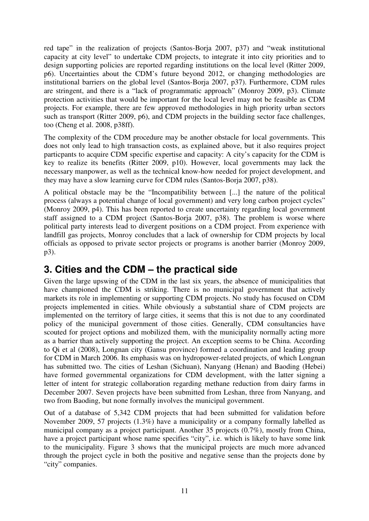red tape" in the realization of projects (Santos-Borja 2007, p37) and "weak institutional capacity at city level" to undertake CDM projects, to integrate it into city priorities and to design supporting policies are reported regarding institutions on the local level (Ritter 2009, p6). Uncertainties about the CDM's future beyond 2012, or changing methodologies are institutional barriers on the global level (Santos-Borja 2007, p37). Furthermore, CDM rules are stringent, and there is a "lack of programmatic approach" (Monroy 2009, p3). Climate protection activities that would be important for the local level may not be feasible as CDM projects. For example, there are few approved methodologies in high priority urban sectors such as transport (Ritter 2009, p6), and CDM projects in the building sector face challenges, too (Cheng et al. 2008, p38ff).

The complexity of the CDM procedure may be another obstacle for local governments. This does not only lead to high transaction costs, as explained above, but it also requires project particpants to acquire CDM specific expertise and capacity: A city's capacity for the CDM is key to realize its benefits (Ritter 2009, p10). However, local governments may lack the necessary manpower, as well as the technical know-how needed for project development, and they may have a slow learning curve for CDM rules (Santos-Borja 2007, p38).

A political obstacle may be the "Incompatibility between [...] the nature of the political process (always a potential change of local government) and very long carbon project cycles" (Monroy 2009, p4). This has been reported to create uncertainty regarding local government staff assigned to a CDM project (Santos-Borja 2007, p38). The problem is worse where political party interests lead to divergent positions on a CDM project. From experience with landfill gas projects, Monroy concludes that a lack of ownership for CDM projects by local officials as opposed to private sector projects or programs is another barrier (Monroy 2009, p3).

## **3. Cities and the CDM – the practical side**

Given the large upswing of the CDM in the last six years, the absence of municipalities that have championed the CDM is striking. There is no municipal government that actively markets its role in implementing or supporting CDM projects. No study has focused on CDM projects implemented in cities. While obviously a substantial share of CDM projects are implemented on the territory of large cities, it seems that this is not due to any coordinated policy of the municipal government of those cities. Generally, CDM consultancies have scouted for project options and mobilized them, with the municipality normally acting more as a barrier than actively supporting the project. An exception seems to be China. According to Qi et al (2008), Longnan city (Gansu province) formed a coordination and leading group for CDM in March 2006. Its emphasis was on hydropower-related projects, of which Longnan has submitted two. The cities of Leshan (Sichuan), Nanyang (Henan) and Baoding (Hebei) have formed governmental organizations for CDM development, with the latter signing a letter of intent for strategic collaboration regarding methane reduction from dairy farms in December 2007. Seven projects have been submitted from Leshan, three from Nanyang, and two from Baoding, but none formally involves the municipal government.

Out of a database of 5,342 CDM projects that had been submitted for validation before November 2009, 57 projects (1.3%) have a municipality or a company formally labelled as municipal company as a project participant. Another 35 projects (0.7%), mostly from China, have a project participant whose name specifies "city", i.e. which is likely to have some link to the municipality. Figure 3 shows that the municipal projects are much more advanced through the project cycle in both the positive and negative sense than the projects done by "city" companies.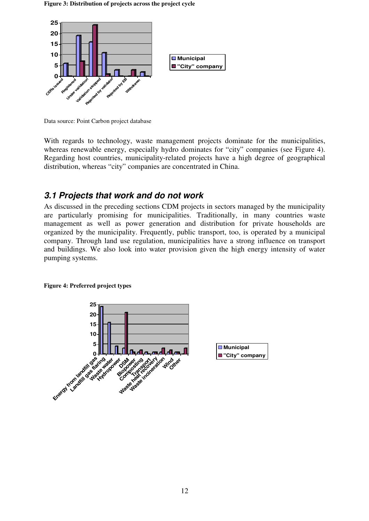#### **Figure 3: Distribution of projects across the project cycle**



Data source: Point Carbon project database

With regards to technology, waste management projects dominate for the municipalities, whereas renewable energy, especially hydro dominates for "city" companies (see Figure 4). Regarding host countries, municipality-related projects have a high degree of geographical distribution, whereas "city" companies are concentrated in China.

## **3.1 Projects that work and do not work**

As discussed in the preceding sections CDM projects in sectors managed by the municipality are particularly promising for municipalities. Traditionally, in many countries waste management as well as power generation and distribution for private households are organized by the municipality. Frequently, public transport, too, is operated by a municipal company. Through land use regulation, municipalities have a strong influence on transport and buildings. We also look into water provision given the high energy intensity of water pumping systems.



#### **Figure 4: Preferred project types**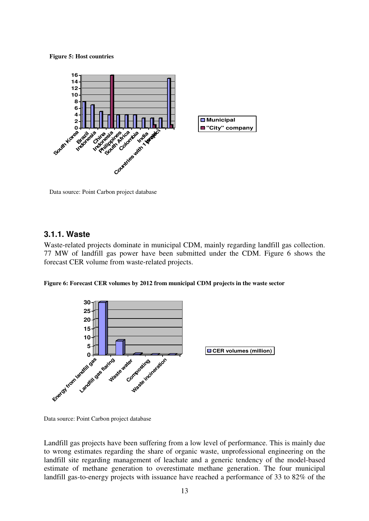**Figure 5: Host countries** 



Data source: Point Carbon project database

#### **3.1.1. Waste**

Waste-related projects dominate in municipal CDM, mainly regarding landfill gas collection. 77 MW of landfill gas power have been submitted under the CDM. Figure 6 shows the forecast CER volume from waste-related projects.

**Figure 6: Forecast CER volumes by 2012 from municipal CDM projects in the waste sector** 



Data source: Point Carbon project database

Landfill gas projects have been suffering from a low level of performance. This is mainly due to wrong estimates regarding the share of organic waste, unprofessional engineering on the landfill site regarding management of leachate and a generic tendency of the model-based estimate of methane generation to overestimate methane generation. The four municipal landfill gas-to-energy projects with issuance have reached a performance of 33 to 82% of the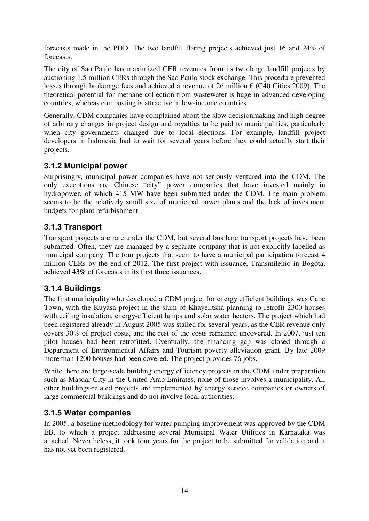forecasts made in the PDD. The two landfill flaring projects achieved just 16 and 24% of forecasts.

The city of Sao Paulo has maximized CER revenues from its two large landfill projects by auctioning 1.5 million CERs through the Sao Paulo stock exchange. This procedure prevented losses through brokerage fees and achieved a revenue of 26 million  $\epsilon$  (C40 Cities 2009). The theoretical potential for methane collection from wastewater is huge in advanced developing countries, whereas composting is attractive in low-income countries.

Generally, CDM companies have complained about the slow decisionmaking and high degree of arbitrary changes in project design and royalties to be paid to municipalities, particularly when city governments changed due to local elections. For example, landfill project developers in Indonesia had to wait for several years before they could actually start their projects.

#### **3.1.2 Municipal power**

Surprisingly, municipal power companies have not seriously ventured into the CDM. The only exceptions are Chinese "city" power companies that have invested mainly in hydropower, of which 415 MW have been submitted under the CDM. The main problem seems to be the relatively small size of municipal power plants and the lack of investment budgets for plant refurbishment.

#### **3.1.3 Transport**

Transport projects are rare under the CDM, but several bus lane transport projects have been submitted. Often, they are managed by a separate company that is not explicitly labelled as municipal company. The four projects that seem to have a municipal participation forecast 4 million CERs by the end of 2012. The first project with issuance, Transmilenio in Bogotá, achieved 43% of forecasts in its first three issuances.

#### **3.1.4 Buildings**

The first municipality who developed a CDM project for energy efficient buildings was Cape Town, with the Kuyasa project in the slum of Khayelitsha planning to retrofit 2300 houses with ceiling insulation, energy-efficient lamps and solar water heaters. The project which had been registered already in August 2005 was stalled for several years, as the CER revenue only covers 30% of project costs, and the rest of the costs remained uncovered. In 2007, just ten pilot houses had been retrofitted. Eventually, the financing gap was closed through a Department of Environmental Affairs and Tourism poverty alleviation grant. By late 2009 more than 1200 houses had been covered. The project provides 76 jobs.

While there are large-scale building energy efficiency projects in the CDM under preparation such as Masdar City in the United Arab Emirates, none of those involves a municipality. All other buildings-related projects are implemented by energy service companies or owners of large commercial buildings and do not involve local authorities.

#### **3.1.5 Water companies**

In 2005, a baseline methodology for water pumping improvement was approved by the CDM EB, to which a project addressing several Municipal Water Utilities in Karnataka was attached. Nevertheless, it took four years for the project to be submitted for validation and it has not yet been registered.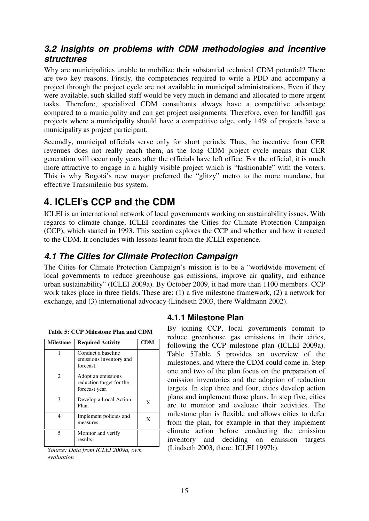### **3.2 Insights on problems with CDM methodologies and incentive structures**

Why are municipalities unable to mobilize their substantial technical CDM potential? There are two key reasons. Firstly, the competencies required to write a PDD and accompany a project through the project cycle are not available in municipal administrations. Even if they were available, such skilled staff would be very much in demand and allocated to more urgent tasks. Therefore, specialized CDM consultants always have a competitive advantage compared to a municipality and can get project assignments. Therefore, even for landfill gas projects where a municipality should have a competitive edge, only 14% of projects have a municipality as project participant.

Secondly, municipal officials serve only for short periods. Thus, the incentive from CER revenues does not really reach them, as the long CDM project cycle means that CER generation will occur only years after the officials have left office. For the official, it is much more attractive to engage in a highly visible project which is "fashionable" with the voters. This is why Bogotá's new mayor preferred the "glitzy" metro to the more mundane, but effective Transmilenio bus system.

## **4. ICLEI's CCP and the CDM**

ICLEI is an international network of local governments working on sustainability issues. With regards to climate change, ICLEI coordinates the Cities for Climate Protection Campaign (CCP), which started in 1993. This section explores the CCP and whether and how it reacted to the CDM. It concludes with lessons learnt from the ICLEI experience.

## **4.1 The Cities for Climate Protection Campaign**

The Cities for Climate Protection Campaign's mission is to be a "worldwide movement of local governments to reduce greenhouse gas emissions, improve air quality, and enhance urban sustainability" (ICLEI 2009a). By October 2009, it had more than 1100 members. CCP work takes place in three fields. These are: (1) a five milestone framework, (2) a network for exchange, and (3) international advocacy (Lindseth 2003, there Waldmann 2002).

| <b>Milestone</b> | <b>Required Activity</b>                                         | <b>CDM</b> |
|------------------|------------------------------------------------------------------|------------|
|                  | Conduct a baseline<br>emissions inventory and<br>forecast.       |            |
| $\mathfrak{D}$   | Adopt an emissions<br>reduction target for the<br>forecast year. |            |
| 3                | Develop a Local Action<br>Plan.                                  | X          |
| 4                | Implement policies and<br>measures.                              | X          |
| 5                | Monitor and verify<br>results.                                   |            |

**Table 5: CCP Milestone Plan and CDM** 

*Source: Data from ICLEI 2009a, own evaluation* 

#### **4.1.1 Milestone Plan**

By joining CCP, local governments commit to reduce greenhouse gas emissions in their cities, following the CCP milestone plan (ICLEI 2009a). Table 5Table 5 provides an overview of the milestones, and where the CDM could come in. Step one and two of the plan focus on the preparation of emission inventories and the adoption of reduction targets. In step three and four, cities develop action plans and implement those plans. In step five, cities are to monitor and evaluate their activities. The milestone plan is flexible and allows cities to defer from the plan, for example in that they implement climate action before conducting the emission inventory and deciding on emission targets (Lindseth 2003, there: ICLEI 1997b).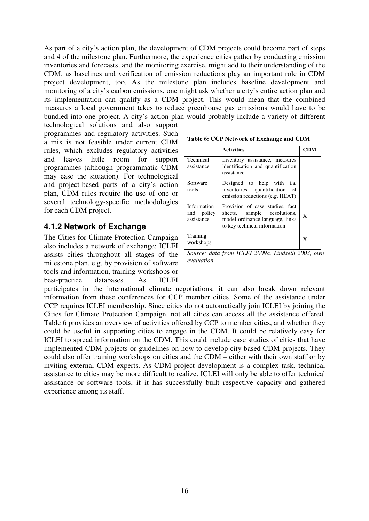As part of a city's action plan, the development of CDM projects could become part of steps and 4 of the milestone plan. Furthermore, the experience cities gather by conducting emission inventories and forecasts, and the monitoring exercise, might add to their understanding of the CDM, as baselines and verification of emission reductions play an important role in CDM project development, too. As the milestone plan includes baseline development and monitoring of a city's carbon emissions, one might ask whether a city's entire action plan and its implementation can qualify as a CDM project. This would mean that the combined measures a local government takes to reduce greenhouse gas emissions would have to be bundled into one project. A city's action plan would probably include a variety of different

technological solutions and also support programmes and regulatory activities. Such a mix is not feasible under current CDM rules, which excludes regulatory activities and leaves little room for support programmes (although programmatic CDM may ease the situation). For technological and project-based parts of a city's action plan, CDM rules require the use of one or several technology-specific methodologies for each CDM project.

#### **4.1.2 Network of Exchange**

The Cities for Climate Protection Campaign also includes a network of exchange: ICLEI assists cities throughout all stages of the milestone plan, e.g. by provision of software tools and information, training workshops or best-practice databases. As ICLEI

**Table 6: CCP Network of Exchange and CDM** 

|                                         | <b>Activities</b>                                                                                                                 | <b>CDM</b> |
|-----------------------------------------|-----------------------------------------------------------------------------------------------------------------------------------|------------|
| Technical<br>assistance                 | Inventory assistance, measures<br>identification and quantification<br>assistance                                                 |            |
| Software<br>tools                       | Designed to help with <i>i.a.</i><br>inventories, quantification of<br>emission reductions (e.g. HEAT)                            |            |
| Information<br>and policy<br>assistance | Provision of case studies, fact<br>sheets, sample resolutions,<br>model ordinance language, links<br>to key technical information | X          |
| Training<br>workshops                   |                                                                                                                                   | X          |

*Source: data from ICLEI 2009a, Lindseth 2003, own evaluation* 

participates in the international climate negotiations, it can also break down relevant information from these conferences for CCP member cities. Some of the assistance under CCP requires ICLEI membership. Since cities do not automatically join ICLEI by joining the Cities for Climate Protection Campaign, not all cities can access all the assistance offered. Table 6 provides an overview of activities offered by CCP to member cities, and whether they could be useful in supporting cities to engage in the CDM. It could be relatively easy for ICLEI to spread information on the CDM. This could include case studies of cities that have implemented CDM projects or guidelines on how to develop city-based CDM projects. They could also offer training workshops on cities and the CDM – either with their own staff or by inviting external CDM experts. As CDM project development is a complex task, technical assistance to cities may be more difficult to realize. ICLEI will only be able to offer technical assistance or software tools, if it has successfully built respective capacity and gathered experience among its staff.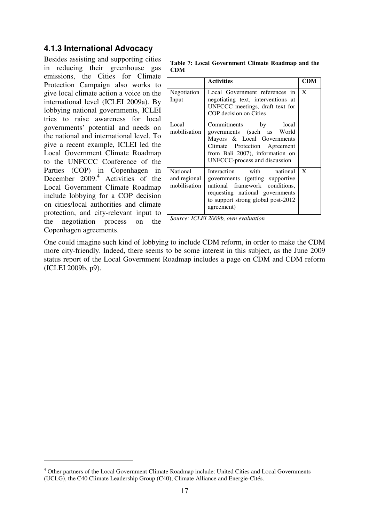### **4.1.3 International Advocacy**

Besides assisting and supporting cities in reducing their greenhouse gas emissions, the Cities for Climate Protection Campaign also works to give local climate action a voice on the international level (ICLEI 2009a). By lobbying national governments, ICLEI tries to raise awareness for local governments' potential and needs on the national and international level. To give a recent example, ICLEI led the Local Government Climate Roadmap to the UNFCCC Conference of the Parties (COP) in Copenhagen in December 2009.<sup>4</sup> Activities of the Local Government Climate Roadmap include lobbying for a COP decision on cities/local authorities and climate protection, and city-relevant input to the negotiation process on the Copenhagen agreements.

 $\overline{a}$ 

**Table 7: Local Government Climate Roadmap and the CDM** 

|                                          | <b>Activities</b>                                                                                                                                                                          | CDM |
|------------------------------------------|--------------------------------------------------------------------------------------------------------------------------------------------------------------------------------------------|-----|
| Negotiation<br>Input                     | Local Government references in<br>negotiating text, interventions at<br>UNFCCC meetings, draft text for<br>COP decision on Cities                                                          | X   |
| Local<br>mobilisation                    | Commitments<br>local<br>by<br>governments (such as World<br>Mayors & Local Governments<br>Climate Protection Agreement<br>from Bali 2007), information on<br>UNFCCC-process and discussion |     |
| National<br>and regional<br>mobilisation | Interaction with<br>national<br>governments (getting supportive<br>national framework conditions,<br>requesting national governments<br>to support strong global post-2012<br>agreement)   | X   |

*Source: ICLEI 2009b, own evaluation* 

One could imagine such kind of lobbying to include CDM reform, in order to make the CDM more city-friendly. Indeed, there seems to be some interest in this subject, as the June 2009 status report of the Local Government Roadmap includes a page on CDM and CDM reform (ICLEI 2009b, p9).

<sup>&</sup>lt;sup>4</sup> Other partners of the Local Government Climate Roadmap include: United Cities and Local Governments (UCLG), the C40 Climate Leadership Group (C40), Climate Alliance and Energie-Cités.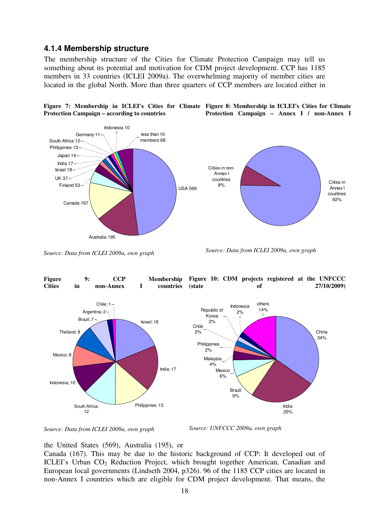#### **4.1.4 Membership structure**

The membership structure of the Cities for Climate Protection Campaign may tell us something about its potential and motivation for CDM project development. CCP has 1185 members in 33 countries (ICLEI 2009a). The overwhelming majority of member cities are located in the global North. More than three quarters of CCP members are located either in





*Source: Data from ICLEI 2009a, own graph*

*Source: Data from ICLEI 2009a, own graph* 





*Source: UNFCCC 2009a, own graph* 

the United States (569), Australia (195), or

Canada (167). This may be due to the historic background of CCP: It developed out of ICLEI's Urban CO<sub>2</sub> Reduction Project, which brought together American, Canadian and European local governments (Lindseth 2004, p326). 96 of the 1185 CCP cities are located in non-Annex I countries which are eligible for CDM project development. That means, the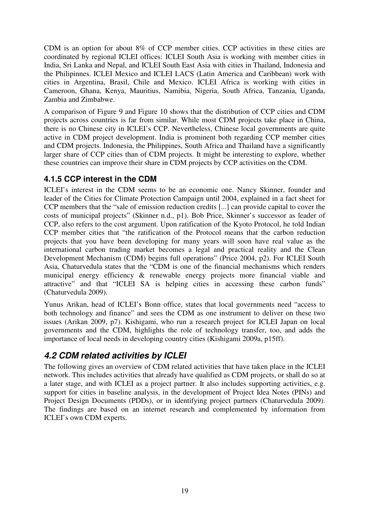CDM is an option for about 8% of CCP member cities. CCP activities in these cities are coordinated by regional ICLEI offices: ICLEI South Asia is working with member cities in India, Sri Lanka and Nepal, and ICLEI South East Asia with cities in Thailand, Indonesia and the Philipinnes. ICLEI Mexico and ICLEI LACS (Latin America and Caribbean) work with cities in Argentina, Brasil, Chile and Mexico. ICLEI Africa is working with cities in Cameroon, Ghana, Kenya, Mauritius, Namibia, Nigeria, South Africa, Tanzania, Uganda, Zambia and Zimbabwe.

A comparison of Figure 9 and Figure 10 shows that the distribution of CCP cities and CDM projects across countries is far from similar. While most CDM projects take place in China, there is no Chinese city in ICLEI's CCP. Nevertheless, Chinese local governments are quite active in CDM project development. India is prominent both regarding CCP member cities and CDM projects. Indonesia, the Philippines, South Africa and Thailand have a significantly larger share of CCP cities than of CDM projects. It might be interesting to explore, whether these countries can improve their share in CDM projects by CCP activities on the CDM.

### **4.1.5 CCP interest in the CDM**

ICLEI's interest in the CDM seems to be an economic one. Nancy Skinner, founder and leader of the Cities for Climate Protection Campaign until 2004, explained in a fact sheet for CCP members that the "sale of emission reduction credits [...] can provide capital to cover the costs of municipal projects" (Skinner n.d., p1). Bob Price, Skinner's successor as leader of CCP, also refers to the cost argument. Upon ratification of the Kyoto Protocol, he told Indian CCP member cities that "the ratification of the Protocol means that the carbon reduction projects that you have been developing for many years will soon have real value as the international carbon trading market becomes a legal and practical reality and the Clean Development Mechanism (CDM) begins full operations" (Price 2004, p2). For ICLEI South Asia, Chaturvedula states that the "CDM is one of the financial mechanisms which renders municipal energy efficiency & renewable energy projects more financial viable and attractive" and that "ICLEI SA is helping cities in accessing these carbon funds" (Chaturvedula 2009).

Yunus Arikan, head of ICLEI's Bonn office, states that local governments need "access to both technology and finance" and sees the CDM as one instrument to deliver on these two issues (Arikan 2009, p7). Kishigami, who run a research project for ICLEI Japan on local governments and the CDM, highlights the role of technology transfer, too, and adds the importance of local needs in developing country cities (Kishigami 2009a, p15ff).

## **4.2 CDM related activities by ICLEI**

The following gives an overview of CDM related activities that have taken place in the ICLEI network. This includes activities that already have qualified as CDM projects, or shall do so at a later stage, and with ICLEI as a project partner. It also includes supporting activities, e.g. support for cities in baseline analysis, in the development of Project Idea Notes (PINs) and Project Design Documents (PDDs), or in identifying project partners (Chaturvedula 2009). The findings are based on an internet research and complemented by information from ICLEI's own CDM experts.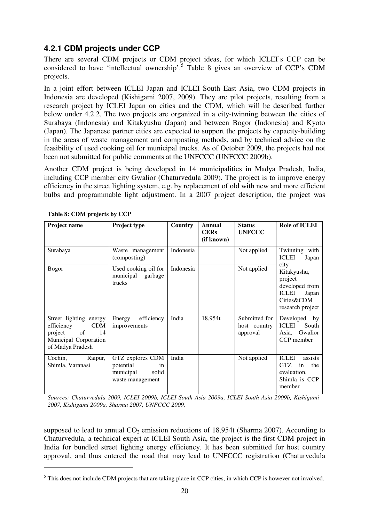### **4.2.1 CDM projects under CCP**

There are several CDM projects or CDM project ideas, for which ICLEI's CCP can be considered to have 'intellectual ownership'.<sup>5</sup> Table 8 gives an overview of CCP's CDM projects.

In a joint effort between ICLEI Japan and ICLEI South East Asia, two CDM projects in Indonesia are developed (Kishigami 2007, 2009). They are pilot projects, resulting from a research project by ICLEI Japan on cities and the CDM, which will be described further below under 4.2.2. The two projects are organized in a city-twinning between the cities of Surabaya (Indonesia) and Kitakyushu (Japan) and between Bogor (Indonesia) and Kyoto (Japan). The Japanese partner cities are expected to support the projects by capacity-building in the areas of waste management and composting methods, and by technical advice on the feasibility of used cooking oil for municipal trucks. As of October 2009, the projects had not been not submitted for public comments at the UNFCCC (UNFCCC 2009b).

Another CDM project is being developed in 14 municipalities in Madya Pradesh, India, including CCP member city Gwalior (Chaturvedula 2009). The project is to improve energy efficiency in the street lighting system, e.g. by replacement of old with new and more efficient bulbs and programmable light adjustment. In a 2007 project description, the project was

| <b>Project name</b>                                                                                                    | Project type                                                                             | <b>Country</b> | Annual<br><b>CERs</b><br>(if known) | <b>Status</b><br><b>UNFCCC</b>            | <b>Role of ICLEI</b>                                                                                        |
|------------------------------------------------------------------------------------------------------------------------|------------------------------------------------------------------------------------------|----------------|-------------------------------------|-------------------------------------------|-------------------------------------------------------------------------------------------------------------|
| Surabaya                                                                                                               | Waste management<br>(composting)                                                         | Indonesia      |                                     | Not applied                               | Twinning with<br><b>ICLEI</b><br>Japan                                                                      |
| <b>Bogor</b>                                                                                                           | Used cooking oil for<br>municipal<br>garbage<br>trucks                                   | Indonesia      |                                     | Not applied                               | city<br>Kitakyushu,<br>project<br>developed from<br><b>ICLEI</b><br>Japan<br>Cities&CDM<br>research project |
| Street lighting energy<br><b>CDM</b><br>efficiency<br>of<br>14<br>project<br>Municipal Corporation<br>of Madya Pradesh | efficiency<br>Energy<br>improvements                                                     | India          | 18,954t                             | Submitted for<br>host country<br>approval | Developed by<br><b>ICLEI</b><br>South<br>Asia, Gwalior<br>CCP member                                        |
| Raipur,<br>Cochin,<br>Shimla, Varanasi                                                                                 | GTZ explores CDM<br>potential<br><sub>in</sub><br>municipal<br>solid<br>waste management | India          |                                     | Not applied                               | <b>ICLEI</b><br>assists<br>GTZ<br>the<br>in<br>evaluation,<br>Shimla is CCP<br>member                       |

**Table 8: CDM projects by CCP** 

 $\overline{a}$ 

*Sources: Chaturvedula 2009, ICLEI 2009b, ICLEI South Asia 2009a, ICLEI South Asia 2009b, Kishigami 2007, Kishigami 2009a, Sharma 2007, UNFCCC 2009,* 

supposed to lead to annual  $CO<sub>2</sub>$  emission reductions of 18,954t (Sharma 2007). According to Chaturvedula, a technical expert at ICLEI South Asia, the project is the first CDM project in India for bundled street lighting energy efficiency. It has been submitted for host country approval, and thus entered the road that may lead to UNFCCC registration (Chaturvedula

 $<sup>5</sup>$  This does not include CDM projects that are taking place in CCP cities, in which CCP is however not involved.</sup>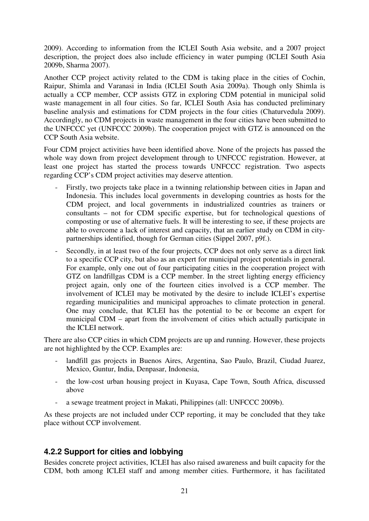2009). According to information from the ICLEI South Asia website, and a 2007 project description, the project does also include efficiency in water pumping (ICLEI South Asia 2009b, Sharma 2007).

Another CCP project activity related to the CDM is taking place in the cities of Cochin, Raipur, Shimla and Varanasi in India (ICLEI South Asia 2009a). Though only Shimla is actually a CCP member, CCP assists GTZ in exploring CDM potential in municipal solid waste management in all four cities. So far, ICLEI South Asia has conducted preliminary baseline analysis and estimations for CDM projects in the four cities (Chaturvedula 2009). Accordingly, no CDM projects in waste management in the four cities have been submitted to the UNFCCC yet (UNFCCC 2009b). The cooperation project with GTZ is announced on the CCP South Asia website.

Four CDM project activities have been identified above. None of the projects has passed the whole way down from project development through to UNFCCC registration. However, at least one project has started the process towards UNFCCC registration. Two aspects regarding CCP's CDM project activities may deserve attention.

- Firstly, two projects take place in a twinning relationship between cities in Japan and Indonesia. This includes local governments in developing countries as hosts for the CDM project, and local governments in industrialized countries as trainers or consultants – not for CDM specific expertise, but for technological questions of composting or use of alternative fuels. It will be interesting to see, if these projects are able to overcome a lack of interest and capacity, that an earlier study on CDM in citypartnerships identified, though for German cities (Sippel 2007, p9f.).
- Secondly, in at least two of the four projects, CCP does not only serve as a direct link to a specific CCP city, but also as an expert for municipal project potentials in general. For example, only one out of four participating cities in the cooperation project with GTZ on landfillgas CDM is a CCP member. In the street lighting energy efficiency project again, only one of the fourteen cities involved is a CCP member. The involvement of ICLEI may be motivated by the desire to include ICLEI's expertise regarding municipalities and municipal approaches to climate protection in general. One may conclude, that ICLEI has the potential to be or become an expert for municipal CDM – apart from the involvement of cities which actually participate in the ICLEI network.

There are also CCP cities in which CDM projects are up and running. However, these projects are not highlighted by the CCP. Examples are:

- landfill gas projects in Buenos Aires, Argentina, Sao Paulo, Brazil, Ciudad Juarez, Mexico, Guntur, India, Denpasar, Indonesia,
- the low-cost urban housing project in Kuyasa, Cape Town, South Africa, discussed above
- a sewage treatment project in Makati, Philippines (all: UNFCCC 2009b).

As these projects are not included under CCP reporting, it may be concluded that they take place without CCP involvement.

#### **4.2.2 Support for cities and lobbying**

Besides concrete project activities, ICLEI has also raised awareness and built capacity for the CDM, both among ICLEI staff and among member cities. Furthermore, it has facilitated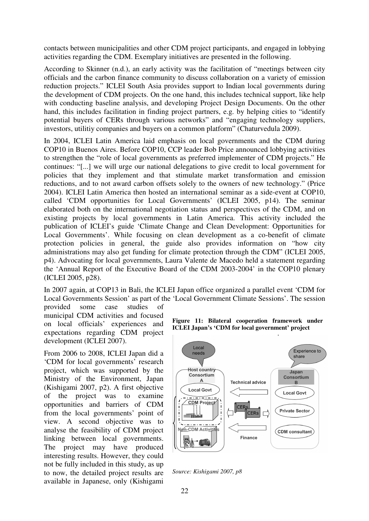contacts between municipalities and other CDM project participants, and engaged in lobbying activities regarding the CDM. Exemplary initiatives are presented in the following.

According to Skinner (n.d.), an early activity was the facilitation of "meetings between city officials and the carbon finance community to discuss collaboration on a variety of emission reduction projects." ICLEI South Asia provides support to Indian local governments during the development of CDM projects. On the one hand, this includes technical support, like help with conducting baseline analysis, and developing Project Design Documents. On the other hand, this includes facilitation in finding project partners, e.g. by helping cities to "identify potential buyers of CERs through various networks" and "engaging technology suppliers, investors, utilitiy companies and buyers on a common platform" (Chaturvedula 2009).

In 2004, ICLEI Latin America laid emphasis on local governments and the CDM during COP10 in Buenos Aires. Before COP10, CCP leader Bob Price announced lobbying activities to strengthen the "role of local governments as preferred implementer of CDM projects." He continues: "[...] we will urge our national delegations to give credit to local government for policies that they implement and that stimulate market transformation and emission reductions, and to not award carbon offsets solely to the owners of new technology." (Price 2004). ICLEI Latin America then hosted an international seminar as a side-event at COP10, called 'CDM opportunities for Local Governments' (ICLEI 2005, p14). The seminar elaborated both on the international negotiation status and perspectives of the CDM, and on existing projects by local governments in Latin America. This activity included the publication of ICLEI's guide 'Climate Change and Clean Development: Opportunities for Local Governments'. While focusing on clean development as a co-benefit of climate protection policies in general, the guide also provides information on "how city administrations may also get funding for climate protection through the CDM" (ICLEI 2005, p4). Advocating for local governments, Laura Valente de Macedo held a statement regarding the 'Annual Report of the Executive Board of the CDM 2003-2004' in the COP10 plenary (ICLEI 2005, p28).

In 2007 again, at COP13 in Bali, the ICLEI Japan office organized a parallel event 'CDM for Local Governments Session' as part of the 'Local Government Climate Sessions'. The session

provided some case studies of municipal CDM activities and focused on local officials' experiences and expectations regarding CDM project development (ICLEI 2007).

From 2006 to 2008, ICLEI Japan did a 'CDM for local governments' research project, which was supported by the Ministry of the Environment, Japan (Kishigami 2007, p2). A first objective of the project was to examine opportunities and barriers of CDM from the local governments' point of view. A second objective was to analyse the feasibility of CDM project linking between local governments. The project may have produced interesting results. However, they could not be fully included in this study, as up to now, the detailed project results are available in Japanese, only (Kishigami **Figure 11: Bilateral cooperation framework under ICLEI Japan's 'CDM for local government' project** 



*Source: Kishigami 2007, p8*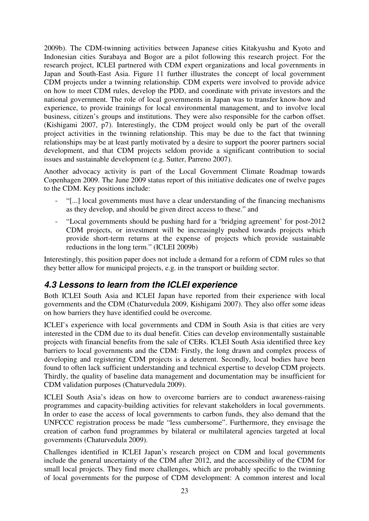2009b). The CDM-twinning activities between Japanese cities Kitakyushu and Kyoto and Indonesian cities Surabaya and Bogor are a pilot following this research project. For the research project, ICLEI partnered with CDM expert organizations and local governments in Japan and South-East Asia. Figure 11 further illustrates the concept of local government CDM projects under a twinning relationship. CDM experts were involved to provide advice on how to meet CDM rules, develop the PDD, and coordinate with private investors and the national government. The role of local governments in Japan was to transfer know-how and experience, to provide trainings for local environmental management, and to involve local business, citizen's groups and institutions. They were also responsible for the carbon offset. (Kishigami 2007, p7). Interestingly, the CDM project would only be part of the overall project activities in the twinning relationship. This may be due to the fact that twinning relationships may be at least partly motivated by a desire to support the poorer partners social development, and that CDM projects seldom provide a significant contribution to social issues and sustainable development (e.g. Sutter, Parreno 2007).

Another advocacy activity is part of the Local Government Climate Roadmap towards Copenhagen 2009. The June 2009 status report of this initiative dedicates one of twelve pages to the CDM. Key positions include:

- "[...] local governments must have a clear understanding of the financing mechanisms as they develop, and should be given direct access to these." and
- "Local governments should be pushing hard for a 'bridging agreement' for post-2012 CDM projects, or investment will be increasingly pushed towards projects which provide short-term returns at the expense of projects which provide sustainable reductions in the long term." (ICLEI 2009b)

Interestingly, this position paper does not include a demand for a reform of CDM rules so that they better allow for municipal projects, e.g. in the transport or building sector.

## **4.3 Lessons to learn from the ICLEI experience**

Both ICLEI South Asia and ICLEI Japan have reported from their experience with local governments and the CDM (Chaturvedula 2009, Kishigami 2007). They also offer some ideas on how barriers they have identified could be overcome.

ICLEI's experience with local governments and CDM in South Asia is that cities are very interested in the CDM due to its dual benefit. Cities can develop environmentally sustainable projects with financial benefits from the sale of CERs. ICLEI South Asia identified three key barriers to local governments and the CDM: Firstly, the long drawn and complex process of developing and registering CDM projects is a deterrent. Secondly, local bodies have been found to often lack sufficient understanding and technical expertise to develop CDM projects. Thirdly, the quality of baseline data management and documentation may be insufficient for CDM validation purposes (Chaturvedula 2009).

ICLEI South Asia's ideas on how to overcome barriers are to conduct awareness-raising programmes and capacity-building activities for relevant stakeholders in local governments. In order to ease the access of local governments to carbon funds, they also demand that the UNFCCC registration process be made "less cumbersome". Furthermore, they envisage the creation of carbon fund programmes by bilateral or multilateral agencies targeted at local governments (Chaturvedula 2009).

Challenges identified in ICLEI Japan's research project on CDM and local governments include the general uncertainty of the CDM after 2012, and the accessibility of the CDM for small local projects. They find more challenges, which are probably specific to the twinning of local governments for the purpose of CDM development: A common interest and local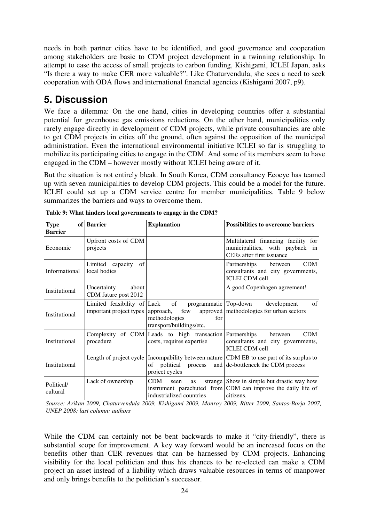needs in both partner cities have to be identified, and good governance and cooperation among stakeholders are basic to CDM project development in a twinning relationship. In attempt to ease the access of small projects to carbon funding, Kishigami, ICLEI Japan, asks "Is there a way to make CER more valuable?". Like Chaturvendula, she sees a need to seek cooperation with ODA flows and international financial agencies (Kishigami 2007, p9).

## **5. Discussion**

We face a dilemma: On the one hand, cities in developing countries offer a substantial potential for greenhouse gas emissions reductions. On the other hand, municipalities only rarely engage directly in development of CDM projects, while private consultancies are able to get CDM projects in cities off the ground, often against the opposition of the municipal administration. Even the international environmental initiative ICLEI so far is struggling to mobilize its participating cities to engage in the CDM. And some of its members seem to have engaged in the CDM – however mostly without ICLEI being aware of it.

But the situation is not entirely bleak. In South Korea, CDM consultancy Ecoeye has teamed up with seven municipalities to develop CDM projects. This could be a model for the future. ICLEI could set up a CDM service centre for member municipalities. Table 9 below summarizes the barriers and ways to overcome them.

| <b>Type</b><br><b>Barrier</b> | of Barrier                                   | <b>Explanation</b>                                                                                       | <b>Possibilities to overcome barriers</b>                                                                                          |
|-------------------------------|----------------------------------------------|----------------------------------------------------------------------------------------------------------|------------------------------------------------------------------------------------------------------------------------------------|
| Economic                      | Upfront costs of CDM<br>projects             |                                                                                                          | Multilateral financing facility for<br>municipalities, with payback in<br>CERs after first issuance                                |
| Informational                 | Limited capacity of<br>local bodies          |                                                                                                          | <b>CDM</b><br>Partnerships between<br>consultants and city governments,<br><b>ICLEI CDM</b> cell                                   |
| Institutional                 | Uncertainty<br>about<br>CDM future post 2012 |                                                                                                          | A good Copenhagen agreement!                                                                                                       |
| Institutional                 |                                              | Limited feasibility of Lack of programmatic Top-down<br>methodologies<br>for<br>transport/buildings/etc. | of<br>development<br>important project types approach, few approved methodologies for urban sectors                                |
| Institutional                 | procedure                                    | Complexity of CDM Leads to high transaction Partnerships<br>costs, requires expertise                    | <b>CDM</b><br>between<br>consultants and city governments,<br><b>ICLEI CDM</b> cell                                                |
| Institutional                 |                                              | of political process<br>project cycles                                                                   | Length of project cycle   Incompability between nature   CDM EB to use part of its surplus to<br>and de-bottleneck the CDM process |
| Political/<br>cultural        | Lack of ownership                            | CDM<br>seen<br>as<br>industrialized countries                                                            | strange Show in simple but drastic way how<br>instrument parachuted from CDM can improve the daily life of<br>citizens.            |

**Table 9: What hinders local governments to engage in the CDM?** 

*Source: Arikan 2009, Chaturvendula 2009, Kishigami 2009, Monroy 2009, Ritter 2009, Santos-Borja 2007, UNEP 2008; last column: authors* 

While the CDM can certainly not be bent backwards to make it "city-friendly", there is substantial scope for improvement. A key way forward would be an increased focus on the benefits other than CER revenues that can be harnessed by CDM projects. Enhancing visibility for the local politician and thus his chances to be re-elected can make a CDM project an asset instead of a liability which draws valuable resources in terms of manpower and only brings benefits to the politician's successor.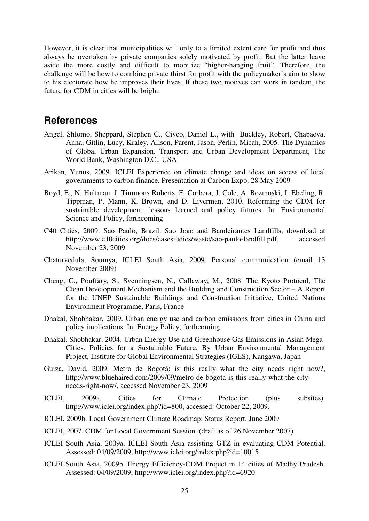However, it is clear that municipalities will only to a limited extent care for profit and thus always be overtaken by private companies solely motivated by profit. But the latter leave aside the more costly and difficult to mobilize "higher-hanging fruit". Therefore, the challenge will be how to combine private thirst for profit with the policymaker's aim to show to his electorate how he improves their lives. If these two motives can work in tandem, the future for CDM in cities will be bright.

## **References**

- Angel, Shlomo, Sheppard, Stephen C., Civco, Daniel L., with Buckley, Robert, Chabaeva, Anna, Gitlin, Lucy, Kraley, Alison, Parent, Jason, Perlin, Micah, 2005. The Dynamics of Global Urban Expansion. Transport and Urban Development Department, The World Bank, Washington D.C., USA
- Arikan, Yunus, 2009. ICLEI Experience on climate change and ideas on access of local governments to carbon finance. Presentation at Carbon Expo, 28 May 2009
- Boyd, E., N. Hultman, J. Timmons Roberts, E. Corbera, J. Cole, A. Bozmoski, J. Ebeling, R. Tippman, P. Mann, K. Brown, and D. Liverman, 2010. Reforming the CDM for sustainable development: lessons learned and policy futures. In: Environmental Science and Policy, forthcoming
- C40 Cities, 2009. Sao Paulo, Brazil. Sao Joao and Bandeirantes Landfills, download at http://www.c40cities.org/docs/casestudies/waste/sao-paulo-landfill.pdf, accessed November 23, 2009
- Chaturvedula, Soumya, ICLEI South Asia, 2009. Personal communication (email 13 November 2009)
- Cheng, C., Pouffary, S., Svenningsen, N., Callaway, M., 2008. The Kyoto Protocol, The Clean Development Mechanism and the Building and Construction Sector – A Report for the UNEP Sustainable Buildings and Construction Initiative, United Nations Environment Programme, Paris, France
- Dhakal, Shobhakar, 2009. Urban energy use and carbon emissions from cities in China and policy implications. In: Energy Policy, forthcoming
- Dhakal, Shobhakar, 2004. Urban Energy Use and Greenhouse Gas Emissions in Asian Mega-Cities. Policies for a Sustainable Future. By Urban Environmental Management Project, Institute for Global Environmental Strategies (IGES), Kangawa, Japan
- Guiza, David, 2009. Metro de Bogotá: is this really what the city needs right now?, http://www.bluehaired.com/2009/09/metro-de-bogota-is-this-really-what-the-cityneeds-right-now/, accessed November 23, 2009
- ICLEI, 2009a. Cities for Climate Protection (plus subsites). http://www.iclei.org/index.php?id=800, accessed: October 22, 2009.
- ICLEI, 2009b. Local Government Climate Roadmap: Status Report. June 2009
- ICLEI, 2007. CDM for Local Government Session. (draft as of 26 November 2007)
- ICLEI South Asia, 2009a. ICLEI South Asia assisting GTZ in evaluating CDM Potential. Assessed: 04/09/2009, http://www.iclei.org/index.php?id=10015
- ICLEI South Asia, 2009b. Energy Efficiency-CDM Project in 14 cities of Madhy Pradesh. Assessed: 04/09/2009, http://www.iclei.org/index.php?id=6920.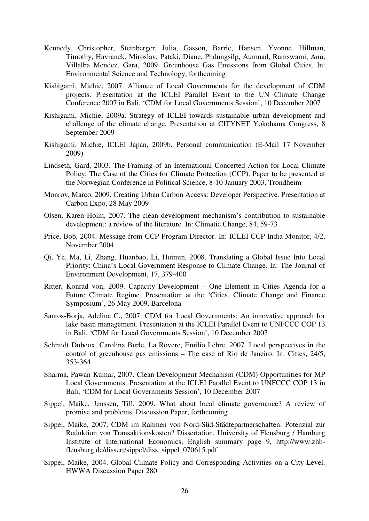- Kennedy, Christopher, Steinberger, Julia, Gasson, Barrie, Hansen, Yvonne, Hillman, Timothy, Havranek, Miroslav, Pataki, Diane, Phdungsilp, Aumnad, Ramswami, Anu, Villalba Mendez, Gara, 2009. Greenhouse Gas Emissions from Global Cities. In: Environmental Science and Technology, forthcoming
- Kishigami, Michie, 2007. Alliance of Local Governments for the development of CDM projects. Presentation at the ICLEI Parallel Event to the UN Climate Change Conference 2007 in Bali, 'CDM for Local Governments Session', 10 December 2007
- Kishigami, Michie, 2009a. Strategy of ICLEI towards sustainable urban development and challenge of the climate change. Presentation at CITYNET Yokohama Congress, 8 September 2009
- Kishigami, Michie, ICLEI Japan, 2009b. Personal communication (E-Mail 17 November 2009)
- Lindseth, Gard, 2003. The Framing of an International Concerted Action for Local Climate Policy: The Case of the Cities for Climate Protection (CCP). Paper to be presented at the Norwegian Conference in Political Science, 8-10 January 2003, Trondheim
- Monroy, Marco, 2009. Creating Urban Carbon Access: Developer Perspective. Presentation at Carbon Expo, 28 May 2009
- Olsen, Karen Holm, 2007. The clean development mechanism's contribution to sustainable development: a review of the literature. In: Climatic Change, 84, 59-73
- Price, Bob, 2004. Message from CCP Program Director. In: ICLEI CCP India Monitor, 4/2, November 2004
- Qi, Ye, Ma, Li, Zhang, Huanbao, Li, Huimin, 2008. Translating a Global Issue Into Local Priority: China's Local Government Response to Climate Change. In: The Journal of Environment Development, 17, 379-400
- Ritter, Konrad von, 2009. Capacity Development One Element in Cities Agenda for a Future Climate Regime. Presentation at the 'Cities, Climate Change and Finance Symposium', 26 May 2009, Barcelona
- Santos-Borja, Adelina C., 2007: CDM for Local Governments: An innovative approach for lake basin management. Presentation at the ICLEI Parallel Event to UNFCCC COP 13 in Bali, 'CDM for Local Governments Session', 10 December 2007
- Schmidt Dubeux, Carolina Burle, La Rovere, Emilio Lèbre, 2007. Local perspectives in the control of greenhouse gas emissions – The case of Rio de Janeiro. In: Cities, 24/5, 353-364
- Sharma, Pawan Kumar, 2007. Clean Development Mechanism (CDM) Opportunities for MP Local Governments. Presentation at the ICLEI Parallel Event to UNFCCC COP 13 in Bali, 'CDM for Local Governments Session', 10 December 2007
- Sippel, Maike, Jenssen, Till, 2009. What about local climate governance? A review of promise and problems. Discussion Paper, forthcoming
- Sippel, Maike, 2007. CDM im Rahmen von Nord-Süd-Städtepartnerschaften: Potenzial zur Reduktion von Transaktionskosten? Dissertation, University of Flensburg / Hamburg Institute of International Economics, English summary page 9, http://www.zhbflensburg.de/dissert/sippel/diss\_sippel\_070615.pdf
- Sippel, Maike, 2004. Global Climate Policy and Corresponding Activities on a City-Level. HWWA Discussion Paper 280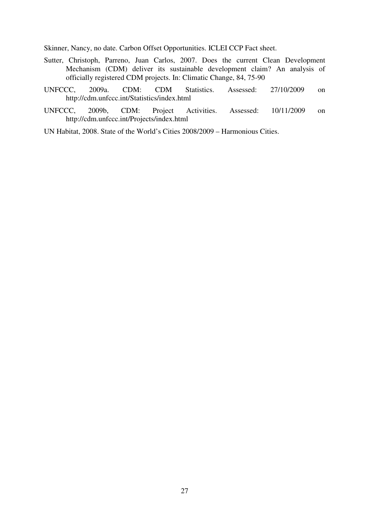Skinner, Nancy, no date. Carbon Offset Opportunities. ICLEI CCP Fact sheet.

- Sutter, Christoph, Parreno, Juan Carlos, 2007. Does the current Clean Development Mechanism (CDM) deliver its sustainable development claim? An analysis of officially registered CDM projects. In: Climatic Change, 84, 75-90
- UNFCCC, 2009a. CDM: CDM Statistics. Assessed: 27/10/2009 on http://cdm.unfccc.int/Statistics/index.html
- UNFCCC, 2009b, CDM: Project Activities. Assessed: 10/11/2009 on http://cdm.unfccc.int/Projects/index.html
- UN Habitat, 2008. State of the World's Cities 2008/2009 Harmonious Cities.